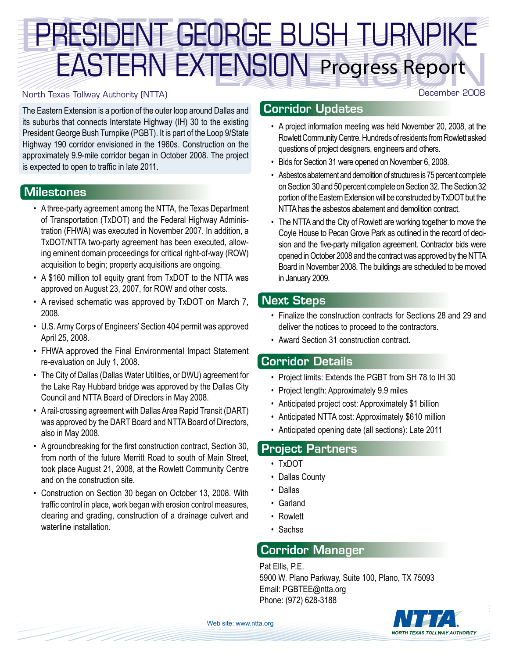# PRESIDENT GEORO ENSION Progress Report PRESIDENT GEORGE BUSH TURNPIKE EASTERN EXTENSION

#### North Texas Tollway Authority (NTTA)

The Eastern Extension is a portion of the outer loop around Dallas and its suburbs that connects Interstate Highway (IH) 30 to the existing President George Bush Turnpike (PGBT). It is part of the Loop 9/State Highway 190 corridor envisioned in the 1960s. Construction on the approximately 9.9-mile corridor began in October 2008. The project is expected to open to traffic in late 2011.

### **Milestones**

- A three-party agreement among the NTTA, the Texas Department of Transportation (TxDOT) and the Federal Highway Administration (FHWA) was executed in November 2007. In addition, a TxDOT/NTTA two-party agreement has been executed, allowing eminent domain proceedings for critical right-of-way (ROW) acquisition to begin; property acquisitions are ongoing.
- A \$160 million toll equity grant from TxDOT to the NTTA was approved on August 23, 2007, for ROW and other costs.
- A revised schematic was approved by TxDOT on March 7, 2008.
- • U.S. Army Corps of Engineers' Section 404 permit was approved April 25, 2008.
- FHWA approved the Final Environmental Impact Statement re-evaluation on July 1, 2008.
- The City of Dallas (Dallas Water Utilities, or DWU) agreement for the Lake Ray Hubbard bridge was approved by the Dallas City Council and NTTA Board of Directors in May 2008.
- A rail-crossing agreement with Dallas Area Rapid Transit (DART) was approved by the DART Board and NTTA Board of Directors, also in May 2008.
- A groundbreaking for the first construction contract, Section 30, from north of the future Merritt Road to south of Main Street, took place August 21, 2008, at the Rowlett Community Centre and on the construction site.
- Construction on Section 30 began on October 13, 2008. With traffic control in place, work began with erosion control measures, clearing and grading, construction of a drainage culvert and waterline installation.

## Corridor Updates

• A project information meeting was held November 20, 2008, at the Rowlett Community Centre. Hundreds of residents from Rowlett asked questions of project designers, engineers and others.

December 2008

- • Bids for Section 31 were opened on November 6, 2008.
- Asbestos abatement and demolition of structures is 75 percent complete on Section 30 and 50 percent complete on Section 32. The Section 32 portion of the Eastern Extension will be constructed by TxDOT but the NTTA has the asbestos abatement and demolition contract.
- The NTTA and the City of Rowlett are working together to move the Coyle House to Pecan Grove Park as outlined in the record of decision and the five-party mitigation agreement. Contractor bids were opened in October 2008 and the contract was approved by the NTTA Board in November 2008. The buildings are scheduled to be moved in January 2009.

### Next Steps

- • Finalize the construction contracts for Sections 28 and 29 and deliver the notices to proceed to the contractors.
- • Award Section 31 construction contract.

### Corridor Details

- Project limits: Extends the PGBT from SH 78 to IH 30
- Project length: Approximately 9.9 miles
- Anticipated project cost: Approximately \$1 billion
- Anticipated NTTA cost: Approximately \$610 million
- • Anticipated opening date (all sections): Late 2011

### Project Partners

- • TxDOT
- Dallas County
- • Dallas
- • Garland
- • Rowlett
- • Sachse

# Corridor Manager

Pat Ellis, P.E. 5900 W. Plano Parkway, Suite 100, Plano, TX 75093 Email: PGBTEE@ntta.org Phone: (972) 628-3188